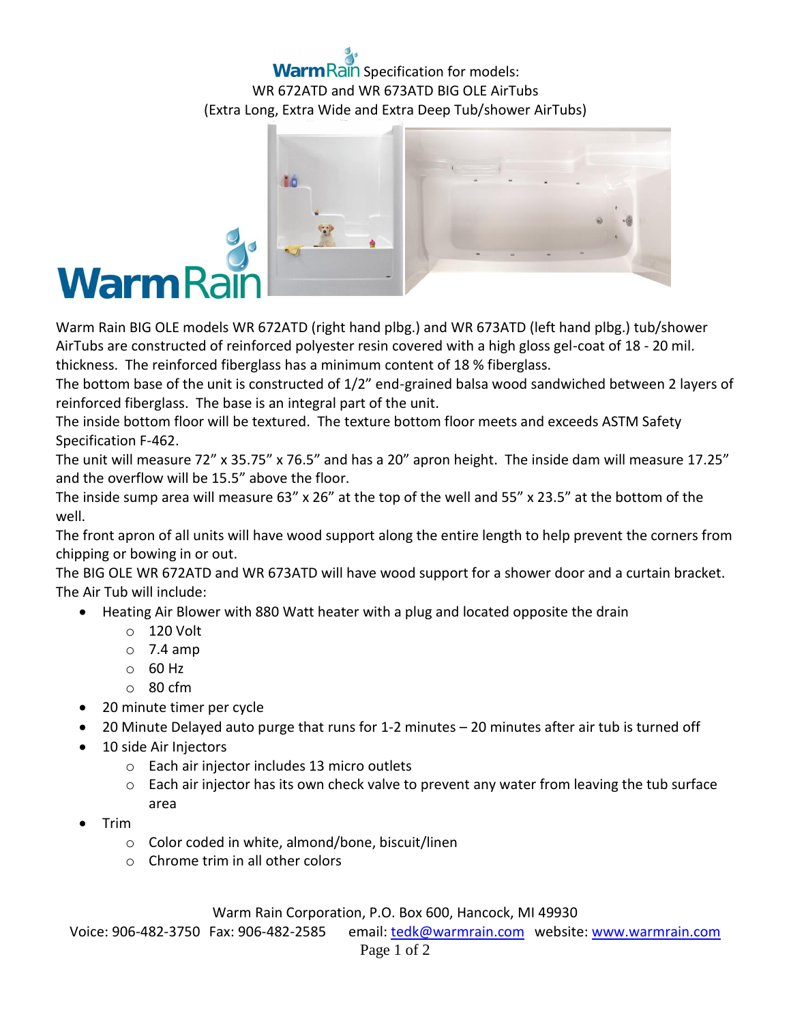## Rain Specification for models: WR 672ATD and WR 673ATD BIG OLE AirTubs (Extra Long, Extra Wide and Extra Deep Tub/shower AirTubs)



Warm Rain BIG OLE models WR 672ATD (right hand plbg.) and WR 673ATD (left hand plbg.) tub/shower AirTubs are constructed of reinforced polyester resin covered with a high gloss gel-coat of 18 - 20 mil. thickness. The reinforced fiberglass has a minimum content of 18 % fiberglass.

The bottom base of the unit is constructed of 1/2" end-grained balsa wood sandwiched between 2 layers of reinforced fiberglass. The base is an integral part of the unit.

The inside bottom floor will be textured. The texture bottom floor meets and exceeds ASTM Safety Specification F-462.

The unit will measure 72" x 35.75" x 76.5" and has a 20" apron height. The inside dam will measure 17.25" and the overflow will be 15.5" above the floor.

The inside sump area will measure 63" x 26" at the top of the well and 55" x 23.5" at the bottom of the well.

The front apron of all units will have wood support along the entire length to help prevent the corners from chipping or bowing in or out.

The BIG OLE WR 672ATD and WR 673ATD will have wood support for a shower door and a curtain bracket. The Air Tub will include:

- Heating Air Blower with 880 Watt heater with a plug and located opposite the drain
	- o 120 Volt
	- $\circ$  7.4 amp
	- $\circ$  60 Hz
	- $\circ$  80 cfm
- 20 minute timer per cycle
- 20 Minute Delayed auto purge that runs for 1-2 minutes 20 minutes after air tub is turned off
- 10 side Air Injectors
	- o Each air injector includes 13 micro outlets
	- $\circ$  Each air injector has its own check valve to prevent any water from leaving the tub surface area
- Trim
	- o Color coded in white, almond/bone, biscuit/linen
	- o Chrome trim in all other colors

Warm Rain Corporation, P.O. Box 600, Hancock, MI 49930

Voice: 906-482-3750 Fax: 906-482-2585 email[: tedk@warmrain.com](mailto:tedk@warmrain.com) website: [www.warmrain.com](http://www.warmrain.com/)